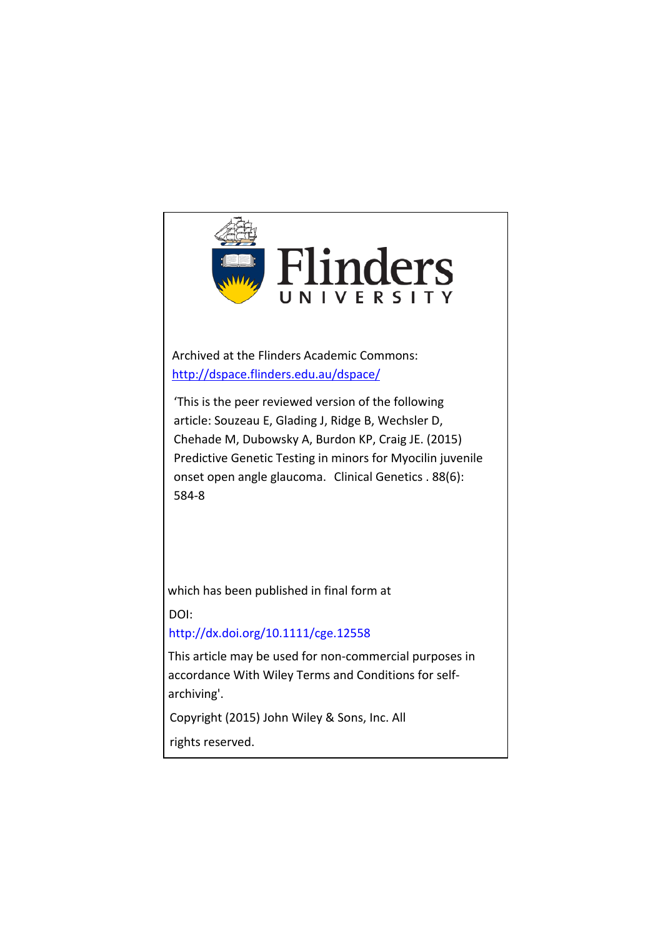

Archived at the Flinders Academic Commons: <http://dspace.flinders.edu.au/dspace/>

'This is the peer reviewed version of the following article: Souzeau E, Glading J, Ridge B, Wechsler D, Chehade M, Dubowsky A, Burdon KP, Craig JE. (2015) Predictive Genetic Testing in minors for Myocilin juvenile onset open angle glaucoma. Clinical Genetics . 88(6): 584-8

which has been published in final form at

DOI:

#### http://dx.doi.org/10.1111/cge.12558

This article may be used for non-commercial purposes in accordance With Wiley Terms and Conditions for selfarchiving'.

Copyright (2015) John Wiley & Sons, Inc. All

rights reserved.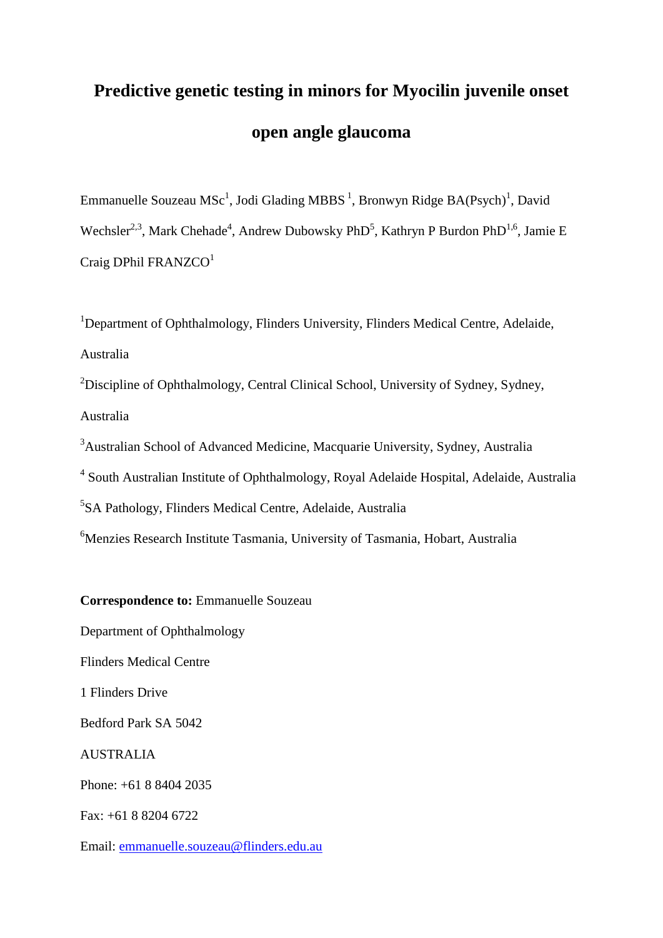# **Predictive genetic testing in minors for Myocilin juvenile onset open angle glaucoma**

Emmanuelle Souzeau MSc<sup>1</sup>, Jodi Glading MBBS<sup>1</sup>, Bronwyn Ridge BA(Psych)<sup>1</sup>, David Wechsler<sup>2,3</sup>, Mark Chehade<sup>4</sup>, Andrew Dubowsky PhD<sup>5</sup>, Kathryn P Burdon PhD<sup>1,6</sup>, Jamie E Craig DPhil FRANZCO<sup>1</sup>

<sup>1</sup>Department of Ophthalmology, Flinders University, Flinders Medical Centre, Adelaide, Australia

<sup>2</sup>Discipline of Ophthalmology, Central Clinical School, University of Sydney, Sydney, Australia

<sup>3</sup>Australian School of Advanced Medicine, Macquarie University, Sydney, Australia

<sup>4</sup> South Australian Institute of Ophthalmology, Royal Adelaide Hospital, Adelaide, Australia

5 SA Pathology, Flinders Medical Centre, Adelaide, Australia

<sup>6</sup>Menzies Research Institute Tasmania, University of Tasmania, Hobart, Australia

**Correspondence to:** Emmanuelle Souzeau

Department of Ophthalmology

Flinders Medical Centre

1 Flinders Drive

Bedford Park SA 5042

AUSTRALIA

Phone: +61 8 8404 2035

Fax: +61 8 8204 6722

Email: [emmanuelle.souzeau@flinders.edu.au](mailto:emmanuelle.souzeau@flinders.edu.au)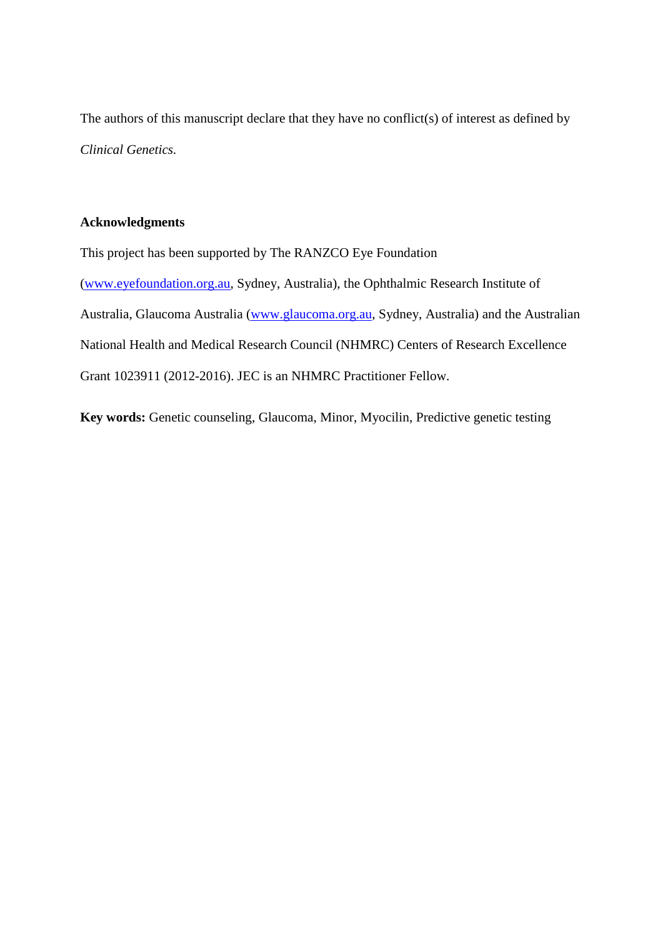The authors of this manuscript declare that they have no conflict(s) of interest as defined by *Clinical Genetics.*

#### **Acknowledgments**

This project has been supported by The RANZCO Eye Foundation [\(www.eyefoundation.org.au,](http://www.eyefoundation.org.au/) Sydney, Australia), the Ophthalmic Research Institute of Australia, Glaucoma Australia [\(www.glaucoma.org.au,](http://www.glaucoma.org.au/) Sydney, Australia) and the Australian National Health and Medical Research Council (NHMRC) Centers of Research Excellence Grant 1023911 (2012-2016). JEC is an NHMRC Practitioner Fellow.

**Key words:** Genetic counseling, Glaucoma, Minor, Myocilin, Predictive genetic testing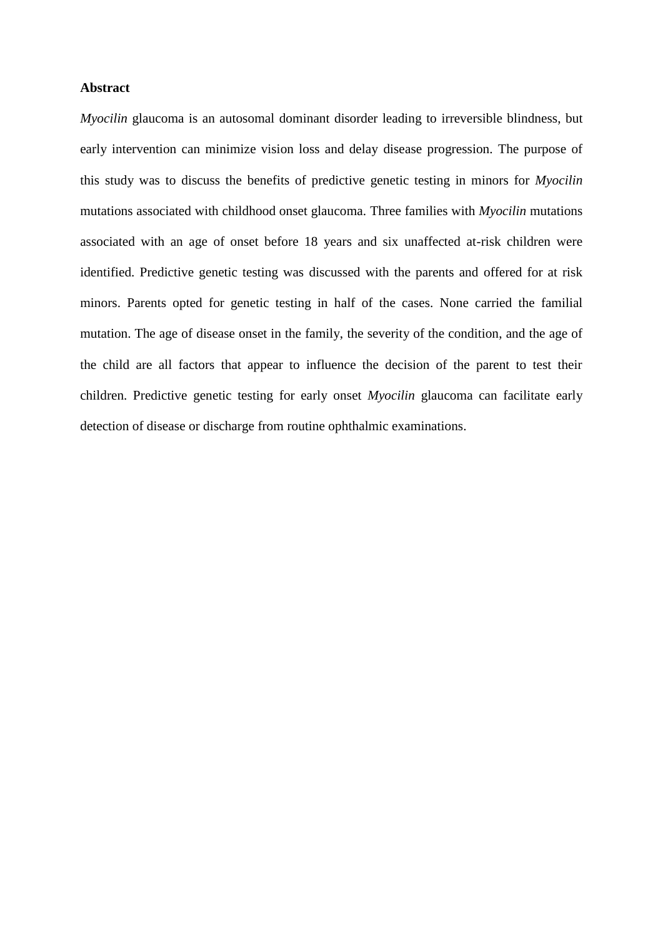#### **Abstract**

*Myocilin* glaucoma is an autosomal dominant disorder leading to irreversible blindness, but early intervention can minimize vision loss and delay disease progression. The purpose of this study was to discuss the benefits of predictive genetic testing in minors for *Myocilin* mutations associated with childhood onset glaucoma. Three families with *Myocilin* mutations associated with an age of onset before 18 years and six unaffected at-risk children were identified. Predictive genetic testing was discussed with the parents and offered for at risk minors. Parents opted for genetic testing in half of the cases. None carried the familial mutation. The age of disease onset in the family, the severity of the condition, and the age of the child are all factors that appear to influence the decision of the parent to test their children. Predictive genetic testing for early onset *Myocilin* glaucoma can facilitate early detection of disease or discharge from routine ophthalmic examinations.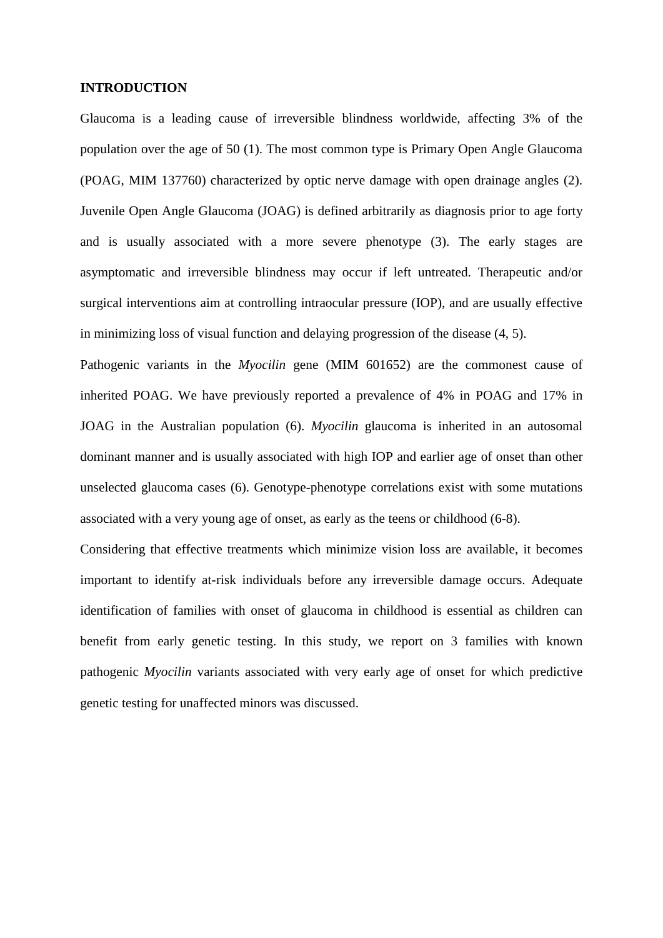#### **INTRODUCTION**

Glaucoma is a leading cause of irreversible blindness worldwide, affecting 3% of the population over the age of 50 [\(1\)](#page-10-0). The most common type is Primary Open Angle Glaucoma (POAG, MIM 137760) characterized by optic nerve damage with open drainage angles [\(2\)](#page-10-1). Juvenile Open Angle Glaucoma (JOAG) is defined arbitrarily as diagnosis prior to age forty and is usually associated with a more severe phenotype [\(3\)](#page-10-2). The early stages are asymptomatic and irreversible blindness may occur if left untreated. Therapeutic and/or surgical interventions aim at controlling intraocular pressure (IOP), and are usually effective in minimizing loss of visual function and delaying progression of the disease [\(4,](#page-10-3) [5\)](#page-10-4).

Pathogenic variants in the *Myocilin* gene (MIM 601652) are the commonest cause of inherited POAG. We have previously reported a prevalence of 4% in POAG and 17% in JOAG in the Australian population [\(6\)](#page-10-5). *Myocilin* glaucoma is inherited in an autosomal dominant manner and is usually associated with high IOP and earlier age of onset than other unselected glaucoma cases [\(6\)](#page-10-5). Genotype-phenotype correlations exist with some mutations associated with a very young age of onset, as early as the teens or childhood [\(6-8\)](#page-10-5).

Considering that effective treatments which minimize vision loss are available, it becomes important to identify at-risk individuals before any irreversible damage occurs. Adequate identification of families with onset of glaucoma in childhood is essential as children can benefit from early genetic testing. In this study, we report on 3 families with known pathogenic *Myocilin* variants associated with very early age of onset for which predictive genetic testing for unaffected minors was discussed.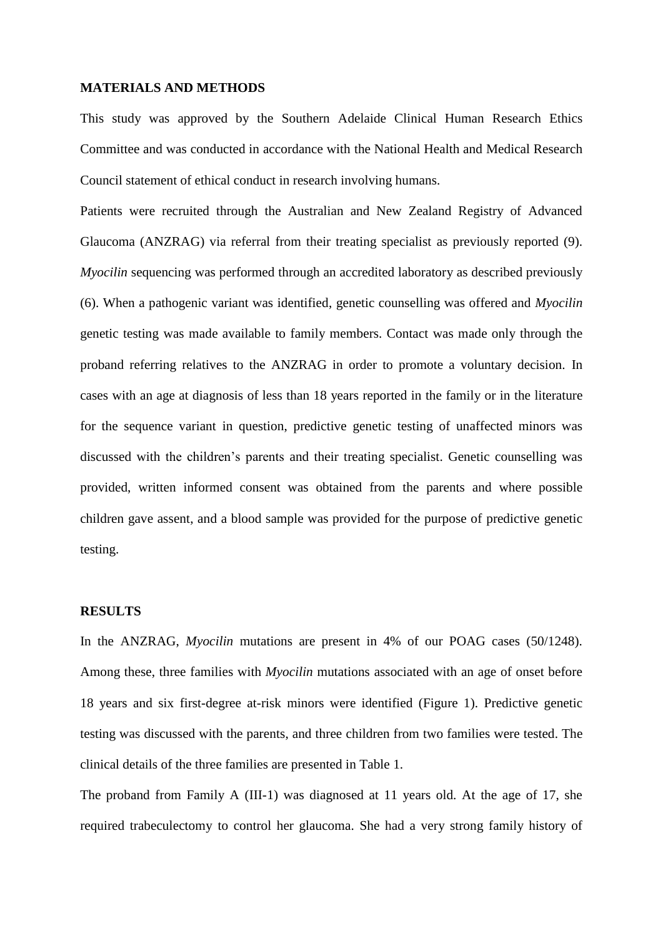#### **MATERIALS AND METHODS**

This study was approved by the Southern Adelaide Clinical Human Research Ethics Committee and was conducted in accordance with the National Health and Medical Research Council statement of ethical conduct in research involving humans.

Patients were recruited through the Australian and New Zealand Registry of Advanced Glaucoma (ANZRAG) via referral from their treating specialist as previously reported [\(9\)](#page-10-6). *Myocilin* sequencing was performed through an accredited laboratory as described previously [\(6\)](#page-10-5). When a pathogenic variant was identified, genetic counselling was offered and *Myocilin* genetic testing was made available to family members. Contact was made only through the proband referring relatives to the ANZRAG in order to promote a voluntary decision. In cases with an age at diagnosis of less than 18 years reported in the family or in the literature for the sequence variant in question, predictive genetic testing of unaffected minors was discussed with the children's parents and their treating specialist. Genetic counselling was provided, written informed consent was obtained from the parents and where possible children gave assent, and a blood sample was provided for the purpose of predictive genetic testing.

#### **RESULTS**

In the ANZRAG, *Myocilin* mutations are present in 4% of our POAG cases (50/1248). Among these, three families with *Myocilin* mutations associated with an age of onset before 18 years and six first-degree at-risk minors were identified (Figure 1). Predictive genetic testing was discussed with the parents, and three children from two families were tested. The clinical details of the three families are presented in Table 1.

The proband from Family A (III-1) was diagnosed at 11 years old. At the age of 17, she required trabeculectomy to control her glaucoma. She had a very strong family history of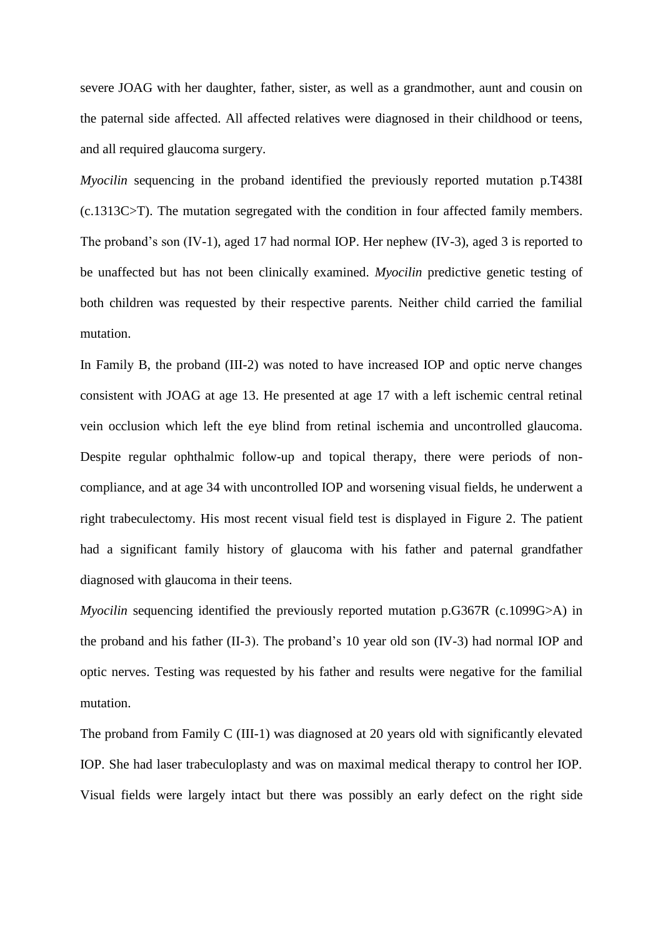severe JOAG with her daughter, father, sister, as well as a grandmother, aunt and cousin on the paternal side affected. All affected relatives were diagnosed in their childhood or teens, and all required glaucoma surgery.

*Myocilin* sequencing in the proband identified the previously reported mutation p.T438I (c.1313C>T). The mutation segregated with the condition in four affected family members. The proband's son (IV-1), aged 17 had normal IOP. Her nephew (IV-3), aged 3 is reported to be unaffected but has not been clinically examined. *Myocilin* predictive genetic testing of both children was requested by their respective parents. Neither child carried the familial mutation.

In Family B, the proband (III-2) was noted to have increased IOP and optic nerve changes consistent with JOAG at age 13. He presented at age 17 with a left ischemic central retinal vein occlusion which left the eye blind from retinal ischemia and uncontrolled glaucoma. Despite regular ophthalmic follow-up and topical therapy, there were periods of noncompliance, and at age 34 with uncontrolled IOP and worsening visual fields, he underwent a right trabeculectomy. His most recent visual field test is displayed in Figure 2. The patient had a significant family history of glaucoma with his father and paternal grandfather diagnosed with glaucoma in their teens.

*Myocilin* sequencing identified the previously reported mutation p.G367R (c.1099G>A) in the proband and his father (II-3). The proband's 10 year old son (IV-3) had normal IOP and optic nerves. Testing was requested by his father and results were negative for the familial mutation.

The proband from Family C (III-1) was diagnosed at 20 years old with significantly elevated IOP. She had laser trabeculoplasty and was on maximal medical therapy to control her IOP. Visual fields were largely intact but there was possibly an early defect on the right side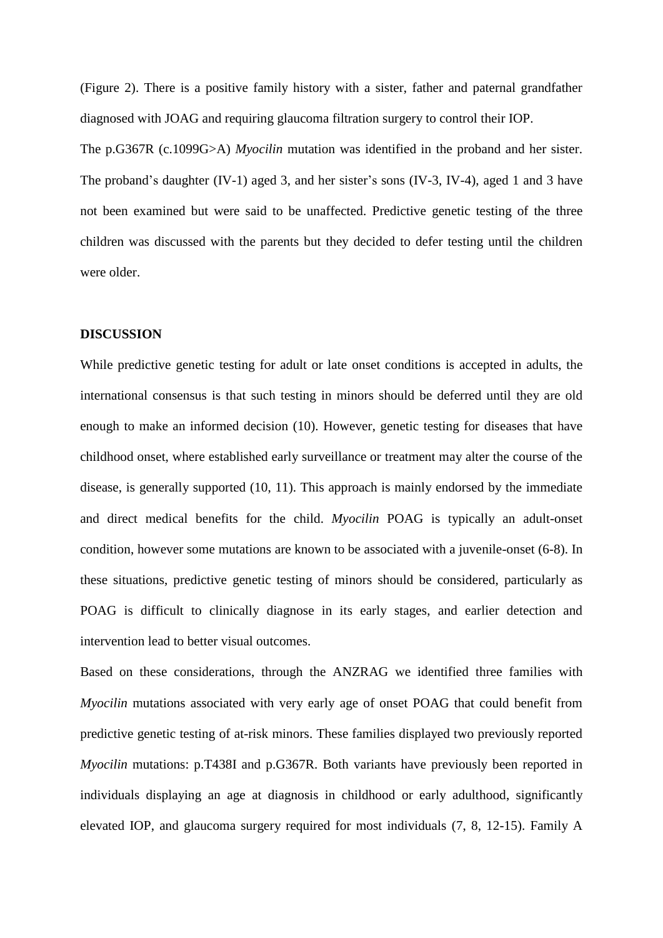(Figure 2). There is a positive family history with a sister, father and paternal grandfather diagnosed with JOAG and requiring glaucoma filtration surgery to control their IOP.

The p.G367R (c.1099G>A) *Myocilin* mutation was identified in the proband and her sister. The proband's daughter (IV-1) aged 3, and her sister's sons (IV-3, IV-4), aged 1 and 3 have not been examined but were said to be unaffected. Predictive genetic testing of the three children was discussed with the parents but they decided to defer testing until the children were older.

#### **DISCUSSION**

While predictive genetic testing for adult or late onset conditions is accepted in adults, the international consensus is that such testing in minors should be deferred until they are old enough to make an informed decision [\(10\)](#page-10-7). However, genetic testing for diseases that have childhood onset, where established early surveillance or treatment may alter the course of the disease, is generally supported [\(10,](#page-10-7) [11\)](#page-10-8). This approach is mainly endorsed by the immediate and direct medical benefits for the child. *Myocilin* POAG is typically an adult-onset condition, however some mutations are known to be associated with a juvenile-onset [\(6-8\)](#page-10-5). In these situations, predictive genetic testing of minors should be considered, particularly as POAG is difficult to clinically diagnose in its early stages, and earlier detection and intervention lead to better visual outcomes.

Based on these considerations, through the ANZRAG we identified three families with *Myocilin* mutations associated with very early age of onset POAG that could benefit from predictive genetic testing of at-risk minors. These families displayed two previously reported *Myocilin* mutations: p.T438I and p.G367R. Both variants have previously been reported in individuals displaying an age at diagnosis in childhood or early adulthood, significantly elevated IOP, and glaucoma surgery required for most individuals [\(7,](#page-10-9) [8,](#page-10-10) [12-15\)](#page-10-11). Family A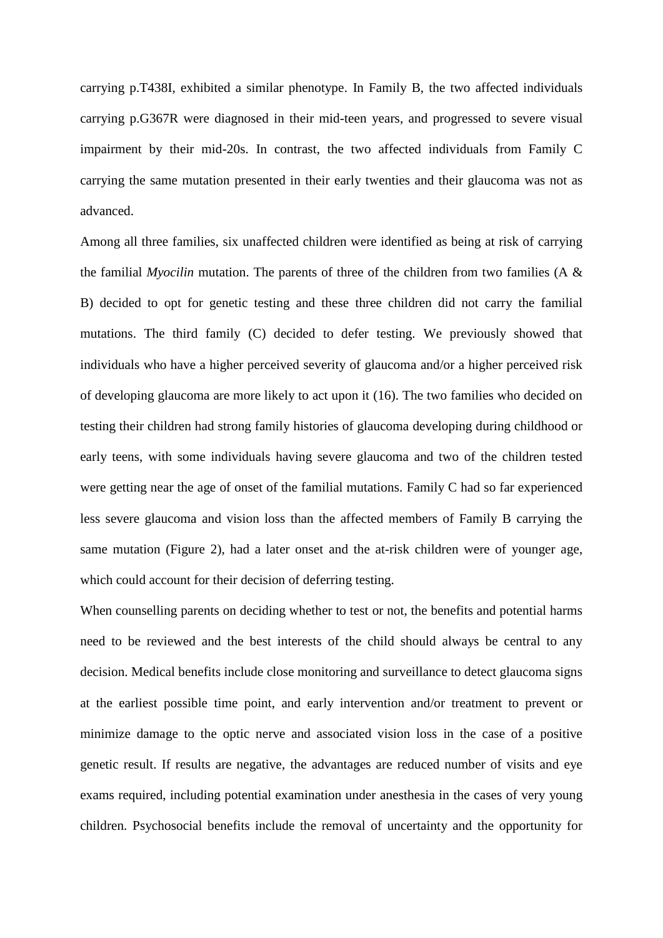carrying p.T438I, exhibited a similar phenotype. In Family B, the two affected individuals carrying p.G367R were diagnosed in their mid-teen years, and progressed to severe visual impairment by their mid-20s. In contrast, the two affected individuals from Family C carrying the same mutation presented in their early twenties and their glaucoma was not as advanced.

Among all three families, six unaffected children were identified as being at risk of carrying the familial *Myocilin* mutation. The parents of three of the children from two families (A  $\&$ B) decided to opt for genetic testing and these three children did not carry the familial mutations. The third family (C) decided to defer testing. We previously showed that individuals who have a higher perceived severity of glaucoma and/or a higher perceived risk of developing glaucoma are more likely to act upon it [\(16\)](#page-10-12). The two families who decided on testing their children had strong family histories of glaucoma developing during childhood or early teens, with some individuals having severe glaucoma and two of the children tested were getting near the age of onset of the familial mutations. Family C had so far experienced less severe glaucoma and vision loss than the affected members of Family B carrying the same mutation (Figure 2), had a later onset and the at-risk children were of younger age, which could account for their decision of deferring testing.

When counselling parents on deciding whether to test or not, the benefits and potential harms need to be reviewed and the best interests of the child should always be central to any decision. Medical benefits include close monitoring and surveillance to detect glaucoma signs at the earliest possible time point, and early intervention and/or treatment to prevent or minimize damage to the optic nerve and associated vision loss in the case of a positive genetic result. If results are negative, the advantages are reduced number of visits and eye exams required, including potential examination under anesthesia in the cases of very young children. Psychosocial benefits include the removal of uncertainty and the opportunity for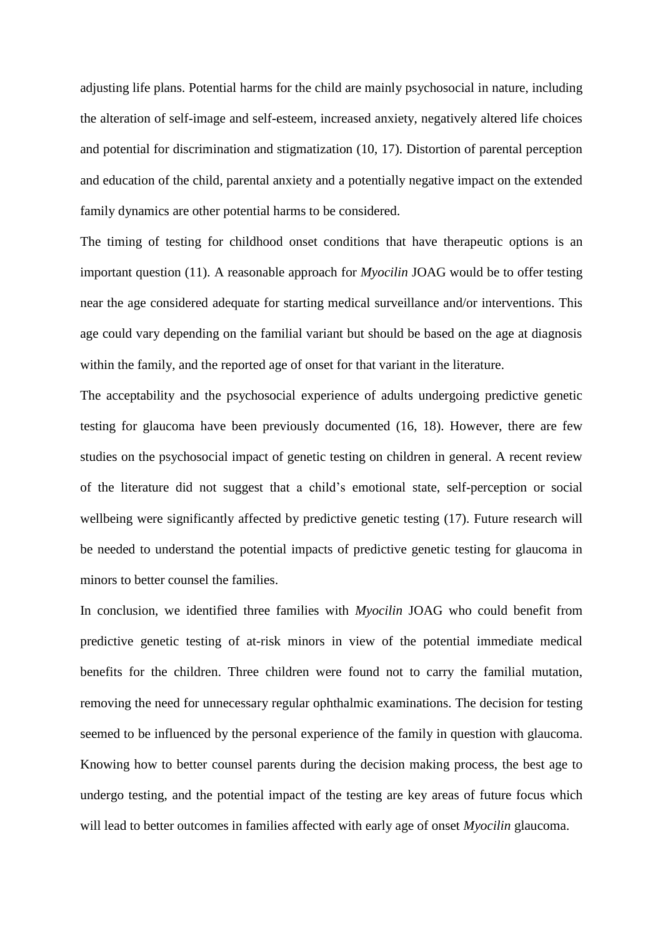adjusting life plans. Potential harms for the child are mainly psychosocial in nature, including the alteration of self-image and self-esteem, increased anxiety, negatively altered life choices and potential for discrimination and stigmatization [\(10,](#page-10-7) [17\)](#page-10-13). Distortion of parental perception and education of the child, parental anxiety and a potentially negative impact on the extended family dynamics are other potential harms to be considered.

The timing of testing for childhood onset conditions that have therapeutic options is an important question [\(11\)](#page-10-8). A reasonable approach for *Myocilin* JOAG would be to offer testing near the age considered adequate for starting medical surveillance and/or interventions. This age could vary depending on the familial variant but should be based on the age at diagnosis within the family, and the reported age of onset for that variant in the literature.

The acceptability and the psychosocial experience of adults undergoing predictive genetic testing for glaucoma have been previously documented [\(16,](#page-10-12) [18\)](#page-10-14). However, there are few studies on the psychosocial impact of genetic testing on children in general. A recent review of the literature did not suggest that a child's emotional state, self-perception or social wellbeing were significantly affected by predictive genetic testing [\(17\)](#page-10-13). Future research will be needed to understand the potential impacts of predictive genetic testing for glaucoma in minors to better counsel the families.

In conclusion, we identified three families with *Myocilin* JOAG who could benefit from predictive genetic testing of at-risk minors in view of the potential immediate medical benefits for the children. Three children were found not to carry the familial mutation, removing the need for unnecessary regular ophthalmic examinations. The decision for testing seemed to be influenced by the personal experience of the family in question with glaucoma. Knowing how to better counsel parents during the decision making process, the best age to undergo testing, and the potential impact of the testing are key areas of future focus which will lead to better outcomes in families affected with early age of onset *Myocilin* glaucoma.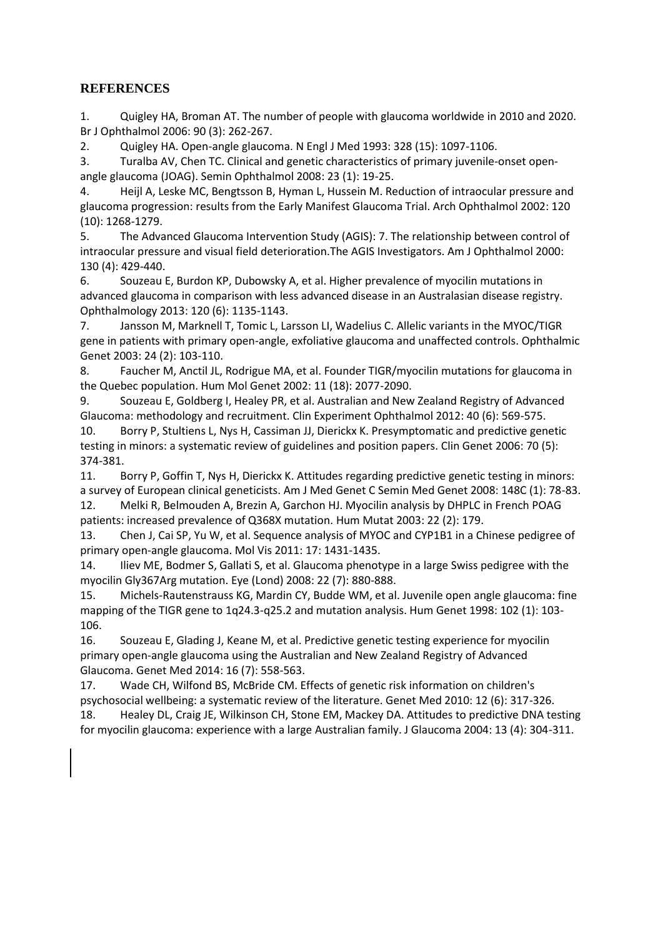### **REFERENCES**

<span id="page-10-0"></span>1. Quigley HA, Broman AT. The number of people with glaucoma worldwide in 2010 and 2020. Br J Ophthalmol 2006: 90 (3): 262-267.

<span id="page-10-1"></span>2. Quigley HA. Open-angle glaucoma. N Engl J Med 1993: 328 (15): 1097-1106.

<span id="page-10-2"></span>3. Turalba AV, Chen TC. Clinical and genetic characteristics of primary juvenile-onset openangle glaucoma (JOAG). Semin Ophthalmol 2008: 23 (1): 19-25.

<span id="page-10-3"></span>4. Heijl A, Leske MC, Bengtsson B, Hyman L, Hussein M. Reduction of intraocular pressure and glaucoma progression: results from the Early Manifest Glaucoma Trial. Arch Ophthalmol 2002: 120 (10): 1268-1279.

<span id="page-10-4"></span>5. The Advanced Glaucoma Intervention Study (AGIS): 7. The relationship between control of intraocular pressure and visual field deterioration.The AGIS Investigators. Am J Ophthalmol 2000: 130 (4): 429-440.

<span id="page-10-5"></span>6. Souzeau E, Burdon KP, Dubowsky A, et al. Higher prevalence of myocilin mutations in advanced glaucoma in comparison with less advanced disease in an Australasian disease registry. Ophthalmology 2013: 120 (6): 1135-1143.

<span id="page-10-9"></span>7. Jansson M, Marknell T, Tomic L, Larsson LI, Wadelius C. Allelic variants in the MYOC/TIGR gene in patients with primary open-angle, exfoliative glaucoma and unaffected controls. Ophthalmic Genet 2003: 24 (2): 103-110.

<span id="page-10-10"></span>8. Faucher M, Anctil JL, Rodrigue MA, et al. Founder TIGR/myocilin mutations for glaucoma in the Quebec population. Hum Mol Genet 2002: 11 (18): 2077-2090.

<span id="page-10-6"></span>9. Souzeau E, Goldberg I, Healey PR, et al. Australian and New Zealand Registry of Advanced Glaucoma: methodology and recruitment. Clin Experiment Ophthalmol 2012: 40 (6): 569-575.

<span id="page-10-7"></span>10. Borry P, Stultiens L, Nys H, Cassiman JJ, Dierickx K. Presymptomatic and predictive genetic testing in minors: a systematic review of guidelines and position papers. Clin Genet 2006: 70 (5): 374-381.

<span id="page-10-8"></span>11. Borry P, Goffin T, Nys H, Dierickx K. Attitudes regarding predictive genetic testing in minors: a survey of European clinical geneticists. Am J Med Genet C Semin Med Genet 2008: 148C (1): 78-83. 12. Melki R, Belmouden A, Brezin A, Garchon HJ. Myocilin analysis by DHPLC in French POAG

<span id="page-10-11"></span>patients: increased prevalence of Q368X mutation. Hum Mutat 2003: 22 (2): 179.

13. Chen J, Cai SP, Yu W, et al. Sequence analysis of MYOC and CYP1B1 in a Chinese pedigree of primary open-angle glaucoma. Mol Vis 2011: 17: 1431-1435.

14. Iliev ME, Bodmer S, Gallati S, et al. Glaucoma phenotype in a large Swiss pedigree with the myocilin Gly367Arg mutation. Eye (Lond) 2008: 22 (7): 880-888.

15. Michels-Rautenstrauss KG, Mardin CY, Budde WM, et al. Juvenile open angle glaucoma: fine mapping of the TIGR gene to 1q24.3-q25.2 and mutation analysis. Hum Genet 1998: 102 (1): 103- 106.

<span id="page-10-12"></span>16. Souzeau E, Glading J, Keane M, et al. Predictive genetic testing experience for myocilin primary open-angle glaucoma using the Australian and New Zealand Registry of Advanced Glaucoma. Genet Med 2014: 16 (7): 558-563.

<span id="page-10-14"></span><span id="page-10-13"></span>17. Wade CH, Wilfond BS, McBride CM. Effects of genetic risk information on children's psychosocial wellbeing: a systematic review of the literature. Genet Med 2010: 12 (6): 317-326. 18. Healey DL, Craig JE, Wilkinson CH, Stone EM, Mackey DA. Attitudes to predictive DNA testing for myocilin glaucoma: experience with a large Australian family. J Glaucoma 2004: 13 (4): 304-311.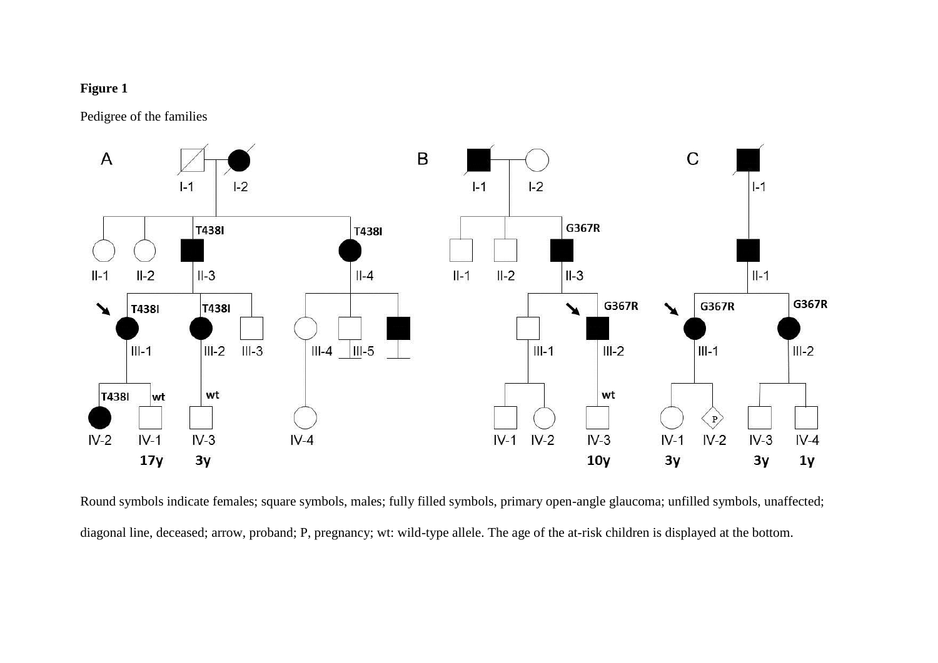## **Figure 1**

Pedigree of the families



Round symbols indicate females; square symbols, males; fully filled symbols, primary open-angle glaucoma; unfilled symbols, unaffected; diagonal line, deceased; arrow, proband; P, pregnancy; wt: wild-type allele. The age of the at-risk children is displayed at the bottom.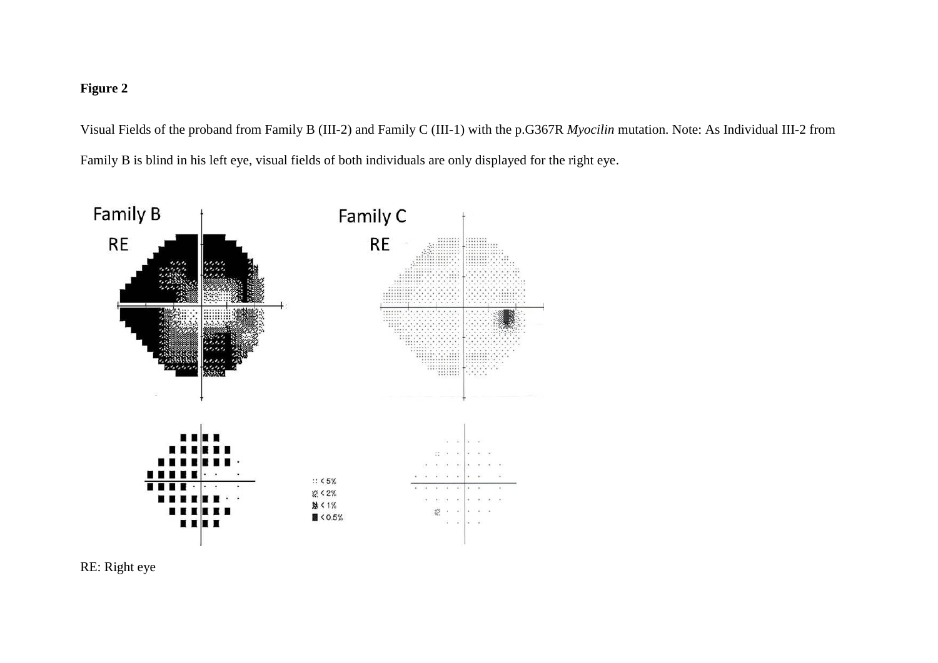# **Figure 2**

Visual Fields of the proband from Family B (III-2) and Family C (III-1) with the p.G367R *Myocilin* mutation. Note: As Individual III-2 from Family B is blind in his left eye, visual fields of both individuals are only displayed for the right eye.